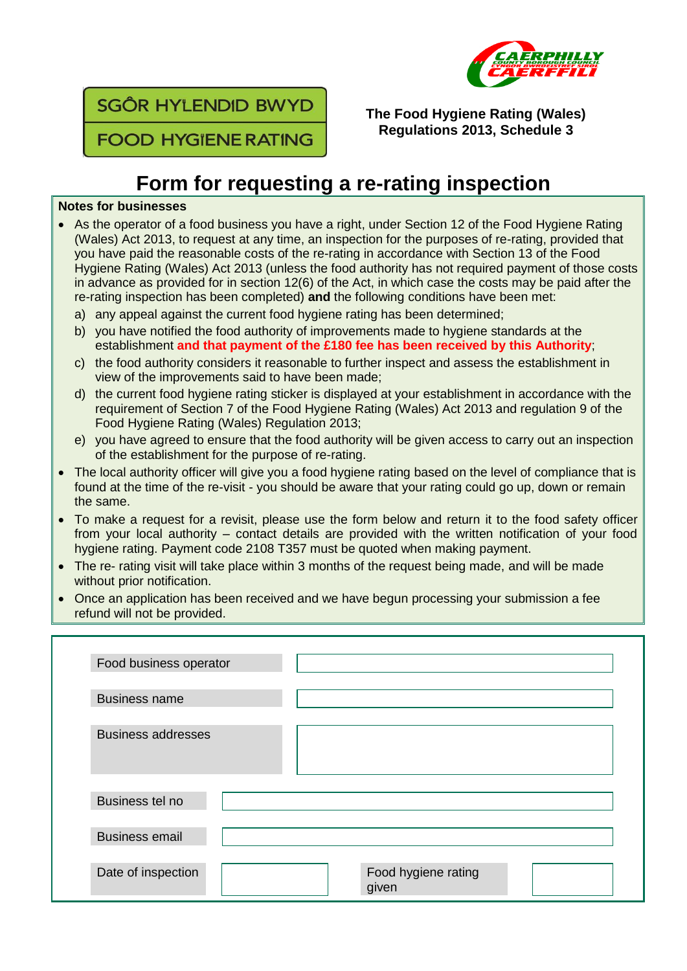



**The Food Hygiene Rating (Wales) Regulations 2013, Schedule 3**

## **Form for requesting a re-rating inspection**

## **Notes for businesses**

- As the operator of a food business you have a right, under Section 12 of the Food Hygiene Rating (Wales) Act 2013, to request at any time, an inspection for the purposes of re-rating, provided that you have paid the reasonable costs of the re-rating in accordance with Section 13 of the Food Hygiene Rating (Wales) Act 2013 (unless the food authority has not required payment of those costs in advance as provided for in section 12(6) of the Act, in which case the costs may be paid after the re-rating inspection has been completed) **and** the following conditions have been met:
	- a) any appeal against the current food hygiene rating has been determined;
	- b) you have notified the food authority of improvements made to hygiene standards at the establishment **and that payment of the £180 fee has been received by this Authority**;
	- c) the food authority considers it reasonable to further inspect and assess the establishment in view of the improvements said to have been made;
	- d) the current food hygiene rating sticker is displayed at your establishment in accordance with the requirement of Section 7 of the Food Hygiene Rating (Wales) Act 2013 and regulation 9 of the Food Hygiene Rating (Wales) Regulation 2013;
	- e) you have agreed to ensure that the food authority will be given access to carry out an inspection of the establishment for the purpose of re-rating.
- The local authority officer will give you a food hygiene rating based on the level of compliance that is found at the time of the re-visit - you should be aware that your rating could go up, down or remain the same.
- To make a request for a revisit, please use the form below and return it to the food safety officer from your local authority – contact details are provided with the written notification of your food hygiene rating. Payment code 2108 T357 must be quoted when making payment.
- The re- rating visit will take place within 3 months of the request being made, and will be made without prior notification.
- Once an application has been received and we have begun processing your submission a fee refund will not be provided.

| Food business operator    |                              |
|---------------------------|------------------------------|
| <b>Business name</b>      |                              |
| <b>Business addresses</b> |                              |
| Business tel no           |                              |
| <b>Business email</b>     |                              |
| Date of inspection        | Food hygiene rating<br>given |